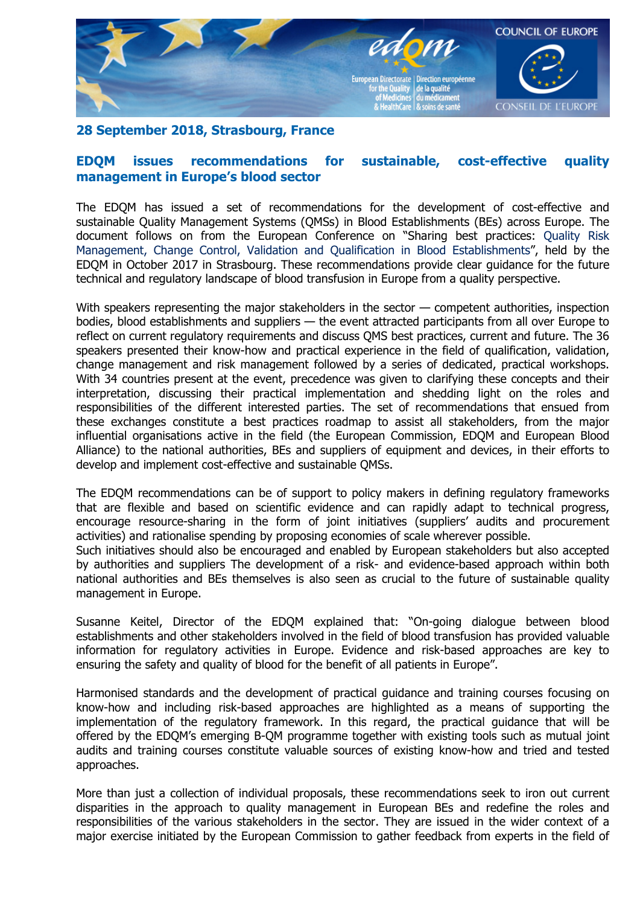

## **28 September 2018, Strasbourg, France**

## **EDQM issues recommendations for sustainable, cost-effective quality management in Europe's blood sector**

The EDQM has issued a set of recommendations for the development of cost-effective and sustainable Quality Management Systems (QMSs) in Blood Establishments (BEs) across Europe. The document follows on from the European Conference on "Sharing best practices: Quality Risk Management, Change Control, Validation and Qualification in Blood Establishments", held by the EDQM in October 2017 in Strasbourg. These recommendations provide clear guidance for the future technical and regulatory landscape of blood transfusion in Europe from a quality perspective.

With speakers representing the major stakeholders in the sector — competent authorities, inspection bodies, blood establishments and suppliers — the event attracted participants from all over Europe to reflect on current regulatory requirements and discuss QMS best practices, current and future. The 36 speakers presented their know-how and practical experience in the field of qualification, validation, change management and risk management followed by a series of dedicated, practical workshops. With 34 countries present at the event, precedence was given to clarifying these concepts and their interpretation, discussing their practical implementation and shedding light on the roles and responsibilities of the different interested parties. The set of recommendations that ensued from these exchanges constitute a best practices roadmap to assist all stakeholders, from the major influential organisations active in the field (the European Commission, EDQM and European Blood Alliance) to the national authorities, BEs and suppliers of equipment and devices, in their efforts to develop and implement cost-effective and sustainable QMSs.

The EDQM recommendations can be of support to policy makers in defining regulatory frameworks that are flexible and based on scientific evidence and can rapidly adapt to technical progress, encourage resource-sharing in the form of joint initiatives (suppliers' audits and procurement activities) and rationalise spending by proposing economies of scale wherever possible.

Such initiatives should also be encouraged and enabled by European stakeholders but also accepted by authorities and suppliers The development of a risk- and evidence-based approach within both national authorities and BEs themselves is also seen as crucial to the future of sustainable quality management in Europe.

Susanne Keitel, Director of the EDQM explained that: "On-going dialogue between blood establishments and other stakeholders involved in the field of blood transfusion has provided valuable information for regulatory activities in Europe. Evidence and risk-based approaches are key to ensuring the safety and quality of blood for the benefit of all patients in Europe".

Harmonised standards and the development of practical guidance and training courses focusing on know-how and including risk-based approaches are highlighted as a means of supporting the implementation of the regulatory framework. In this regard, the practical guidance that will be offered by the EDQM's emerging B-QM programme together with existing tools such as mutual joint audits and training courses constitute valuable sources of existing know-how and tried and tested approaches.

More than just a collection of individual proposals, these recommendations seek to iron out current disparities in the approach to quality management in European BEs and redefine the roles and responsibilities of the various stakeholders in the sector. They are issued in the wider context of a major exercise initiated by the European Commission to gather feedback from experts in the field of